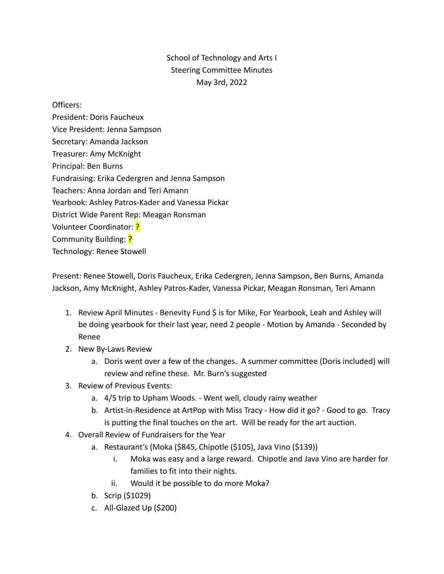## School of Technology and Arts I Steering Committee Minutes May 3rd, 2022

## Officers:

President: Doris Faucheux Vice President: Jenna Sampson Secretary: Amanda Jackson Treasurer: Amy McKnight Principal: Ben Burns Fundraising: Erika Cedergren and Jenna Sampson Teachers: Anna Jordan and Teri Amann Yearbook: Ashley Patros-Kader and Vanessa Pickar District Wide Parent Rep: Meagan Ronsman Volunteer Coordinator: ? Community Building: ? Technology: Renee Stowell

Present: Renee Stowell, Doris Faucheux, Erika Cedergren, Jenna Sampson, Ben Burns, Amanda Jackson, Amy McKnight, Ashley Patros-Kader, Vanessa Pickar, Meagan Ronsman, Teri Amann

- 1. Review April Minutes Benevity Fund \$ is for Mike, For Yearbook, Leah and Ashley will be doing yearbook for their last year, need 2 people - Motion by Amanda - Seconded by Renee
- 2. New By-Laws Review
	- a. Doris went over a few of the changes. A summer committee (Doris included) will review and refine these. Mr. Burn's suggested
- 3. Review of Previous Events:
	- a. 4/5 trip to Upham Woods. Went well, cloudy rainy weather
	- b. Artist-in-Residence at ArtPop with Miss Tracy How did it go? Good to go. Tracy is putting the final touches on the art. Will be ready for the art auction.
- 4. Overall Review of Fundraisers for the Year
	- a. Restaurant's (Moka (\$845, Chipotle (\$105), Java Vino (\$139))
		- i. Moka was easy and a large reward. Chipotle and Java Vino are harder for families to fit into their nights.
		- ii. Would it be possible to do more Moka?
	- b. Scrip (\$1029)
	- c. All-Glazed Up (\$200)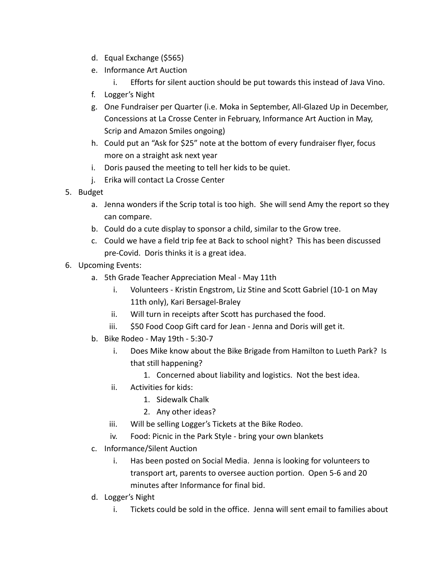- d. Equal Exchange (\$565)
- e. Informance Art Auction
	- i. Efforts for silent auction should be put towards this instead of Java Vino.
- f. Logger's Night
- g. One Fundraiser per Quarter (i.e. Moka in September, All-Glazed Up in December, Concessions at La Crosse Center in February, Informance Art Auction in May, Scrip and Amazon Smiles ongoing)
- h. Could put an "Ask for \$25" note at the bottom of every fundraiser flyer, focus more on a straight ask next year
- i. Doris paused the meeting to tell her kids to be quiet.
- j. Erika will contact La Crosse Center
- 5. Budget
	- a. Jenna wonders if the Scrip total is too high. She will send Amy the report so they can compare.
	- b. Could do a cute display to sponsor a child, similar to the Grow tree.
	- c. Could we have a field trip fee at Back to school night? This has been discussed pre-Covid. Doris thinks it is a great idea.
- 6. Upcoming Events:
	- a. 5th Grade Teacher Appreciation Meal May 11th
		- i. Volunteers Kristin Engstrom, Liz Stine and Scott Gabriel (10-1 on May 11th only), Kari Bersagel-Braley
		- ii. Will turn in receipts after Scott has purchased the food.
		- iii. \$50 Food Coop Gift card for Jean Jenna and Doris will get it.
	- b. Bike Rodeo May 19th 5:30-7
		- i. Does Mike know about the Bike Brigade from Hamilton to Lueth Park? Is that still happening?
			- 1. Concerned about liability and logistics. Not the best idea.
		- ii. Activities for kids:
			- 1. Sidewalk Chalk
			- 2. Any other ideas?
		- iii. Will be selling Logger's Tickets at the Bike Rodeo.
		- iv. Food: Picnic in the Park Style bring your own blankets
	- c. Informance/Silent Auction
		- i. Has been posted on Social Media. Jenna is looking for volunteers to transport art, parents to oversee auction portion. Open 5-6 and 20 minutes after Informance for final bid.
	- d. Logger's Night
		- i. Tickets could be sold in the office. Jenna will sent email to families about